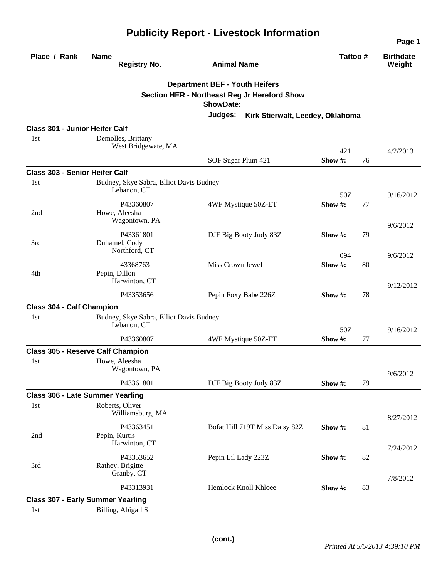|                                       |                                                        |                                                                                                                                                                 |               |    | Page 1                     |
|---------------------------------------|--------------------------------------------------------|-----------------------------------------------------------------------------------------------------------------------------------------------------------------|---------------|----|----------------------------|
| Place / Rank                          | <b>Name</b><br><b>Registry No.</b>                     | <b>Animal Name</b>                                                                                                                                              | Tattoo #      |    | <b>Birthdate</b><br>Weight |
|                                       |                                                        | <b>Department BEF - Youth Heifers</b><br><b>Section HER - Northeast Reg Jr Hereford Show</b><br><b>ShowDate:</b><br>Judges:<br>Kirk Stierwalt, Leedey, Oklahoma |               |    |                            |
| <b>Class 301 - Junior Heifer Calf</b> |                                                        |                                                                                                                                                                 |               |    |                            |
| 1st                                   | Demolles, Brittany<br>West Bridgewate, MA              |                                                                                                                                                                 | 421           |    | 4/2/2013                   |
|                                       |                                                        | SOF Sugar Plum 421                                                                                                                                              | Show #:       | 76 |                            |
| <b>Class 303 - Senior Heifer Calf</b> |                                                        |                                                                                                                                                                 |               |    |                            |
| 1st                                   | Budney, Skye Sabra, Elliot Davis Budney<br>Lebanon, CT |                                                                                                                                                                 | 50Z           |    | 9/16/2012                  |
| 2nd                                   | P43360807<br>Howe, Aleesha<br>Wagontown, PA            | 4WF Mystique 50Z-ET                                                                                                                                             | Show#:        | 77 | 9/6/2012                   |
| 3rd                                   | P43361801<br>Duhamel, Cody<br>Northford, CT            | DJF Big Booty Judy 83Z                                                                                                                                          | Show #:       | 79 |                            |
| 4th                                   | 43368763<br>Pepin, Dillon                              | Miss Crown Jewel                                                                                                                                                | 094<br>Show#: | 80 | 9/6/2012                   |
|                                       | Harwinton, CT<br>P43353656                             | Pepin Foxy Babe 226Z                                                                                                                                            | Show #:       | 78 | 9/12/2012                  |
| <b>Class 304 - Calf Champion</b>      |                                                        |                                                                                                                                                                 |               |    |                            |
| 1st                                   | Budney, Skye Sabra, Elliot Davis Budney<br>Lebanon, CT |                                                                                                                                                                 | 50Z           |    | 9/16/2012                  |
|                                       | P43360807                                              | 4WF Mystique 50Z-ET                                                                                                                                             | Show #:       | 77 |                            |
|                                       | <b>Class 305 - Reserve Calf Champion</b>               |                                                                                                                                                                 |               |    |                            |
| 1st                                   | Howe, Aleesha<br>Wagontown, PA                         |                                                                                                                                                                 |               |    | 9/6/2012                   |
|                                       | P43361801                                              | DJF Big Booty Judy 83Z                                                                                                                                          | Show #:       | 79 |                            |
|                                       | <b>Class 306 - Late Summer Yearling</b>                |                                                                                                                                                                 |               |    |                            |
| 1st                                   | Roberts, Oliver<br>Williamsburg, MA                    |                                                                                                                                                                 |               |    | 8/27/2012                  |
| 2nd                                   | P43363451<br>Pepin, Kurtis<br>Harwinton, CT            | Bofat Hill 719T Miss Daisy 82Z                                                                                                                                  | Show #:       | 81 | 7/24/2012                  |
| 3rd                                   | P43353652<br>Rathey, Brigitte<br>Granby, CT            | Pepin Lil Lady 223Z                                                                                                                                             | Show #:       | 82 |                            |
|                                       | P43313931                                              | Hemlock Knoll Khloee                                                                                                                                            | Show #:       | 83 | 7/8/2012                   |
|                                       | <b>Class 307 - Early Summer Yearling</b>               |                                                                                                                                                                 |               |    |                            |

1st Billing, Abigail S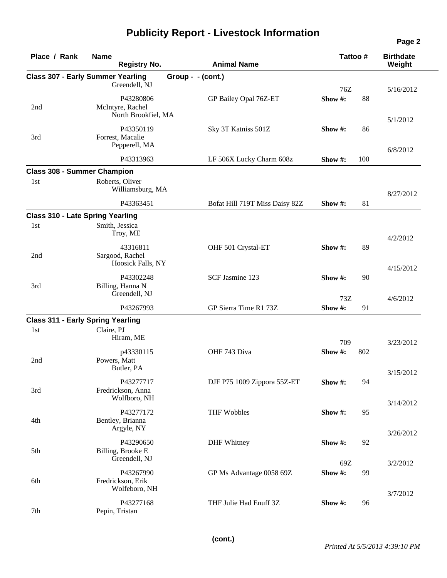| Place / Rank | <b>Name</b><br><b>Registry No.</b>                   | <b>Animal Name</b>             | Tattoo#        |     | <b>Birthdate</b><br>Weight |
|--------------|------------------------------------------------------|--------------------------------|----------------|-----|----------------------------|
|              | <b>Class 307 - Early Summer Yearling</b>             | Group - - (cont.)              |                |     |                            |
|              | Greendell, NJ                                        |                                | 76Z            |     | 5/16/2012                  |
| 2nd          | P43280806<br>McIntyre, Rachel<br>North Brookfiel, MA | GP Bailey Opal 76Z-ET          | Show #:        | 88  |                            |
|              |                                                      |                                |                |     | 5/1/2012                   |
| 3rd          | P43350119<br>Forrest, Macalie<br>Pepperell, MA       | Sky 3T Katniss 501Z            | Show #:        | 86  | 6/8/2012                   |
|              | P43313963                                            | LF 506X Lucky Charm 608z       | Show #:        | 100 |                            |
|              | <b>Class 308 - Summer Champion</b>                   |                                |                |     |                            |
| 1st          | Roberts, Oliver<br>Williamsburg, MA                  |                                |                |     | 8/27/2012                  |
|              | P43363451                                            | Bofat Hill 719T Miss Daisy 82Z | Show #:        | 81  |                            |
|              | <b>Class 310 - Late Spring Yearling</b>              |                                |                |     |                            |
| 1st          | Smith, Jessica<br>Troy, ME                           |                                |                |     | 4/2/2012                   |
| 2nd          | 43316811<br>Sargood, Rachel<br>Hoosick Falls, NY     | OHF 501 Crystal-ET             | Show #:        | 89  |                            |
| 3rd          | P43302248<br>Billing, Hanna N                        | SCF Jasmine 123                | Show #:        | 90  | 4/15/2012                  |
|              | Greendell, NJ                                        |                                | 73Z            |     | 4/6/2012                   |
|              | P43267993                                            | GP Sierra Time R1 73Z          | Show#:         | 91  |                            |
|              | <b>Class 311 - Early Spring Yearling</b>             |                                |                |     |                            |
| 1st          | Claire, PJ<br>Hiram, ME                              |                                | 709            |     | 3/23/2012                  |
| 2nd          | p43330115<br>Powers, Matt                            | OHF 743 Diva                   | Show #:        | 802 |                            |
|              | Butler, PA                                           |                                |                |     | 3/15/2012                  |
| 3rd          | P43277717<br>Fredrickson, Anna<br>Wolfboro, NH       | DJF P75 1009 Zippora 55Z-ET    | Show #:        | 94  |                            |
| 4th          | P43277172<br>Bentley, Brianna<br>Argyle, NY          | <b>THF Wobbles</b>             | Show #:        | 95  | 3/14/2012                  |
|              |                                                      |                                |                |     | 3/26/2012                  |
| 5th          | P43290650<br>Billing, Brooke E<br>Greendell, NJ      | <b>DHF</b> Whitney             | Show #:        | 92  |                            |
| 6th          | P43267990<br>Fredrickson, Erik<br>Wolfeboro, NH      | GP Ms Advantage 0058 69Z       | 69Z<br>Show #: | 99  | 3/2/2012                   |
| 7th          | P43277168<br>Pepin, Tristan                          | THF Julie Had Enuff 3Z         | Show #:        | 96  | 3/7/2012                   |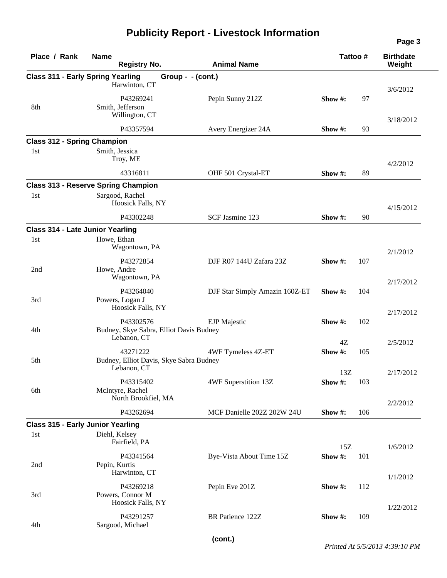| Place / Rank                            | <b>Name</b><br><b>Animal Name</b><br><b>Registry No.</b> |                                | Tattoo#     |     | <b>Birthdate</b><br>Weight |  |
|-----------------------------------------|----------------------------------------------------------|--------------------------------|-------------|-----|----------------------------|--|
|                                         | <b>Class 311 - Early Spring Yearling</b>                 | Group - - (cont.)              |             |     |                            |  |
|                                         | Harwinton, CT                                            |                                |             |     | 3/6/2012                   |  |
|                                         | P43269241                                                | Pepin Sunny 212Z               | Show $#$ :  | 97  |                            |  |
| 8th                                     | Smith, Jefferson                                         |                                |             |     |                            |  |
|                                         | Willington, CT                                           |                                |             |     | 3/18/2012                  |  |
|                                         | P43357594                                                | Avery Energizer 24A            | Show #:     | 93  |                            |  |
| <b>Class 312 - Spring Champion</b>      |                                                          |                                |             |     |                            |  |
| 1st                                     | Smith, Jessica                                           |                                |             |     |                            |  |
|                                         | Troy, ME                                                 |                                |             |     | 4/2/2012                   |  |
|                                         | 43316811                                                 | OHF 501 Crystal-ET             | Show #:     | 89  |                            |  |
|                                         | <b>Class 313 - Reserve Spring Champion</b>               |                                |             |     |                            |  |
| 1st                                     | Sargood, Rachel                                          |                                |             |     |                            |  |
|                                         | Hoosick Falls, NY                                        |                                |             |     | 4/15/2012                  |  |
|                                         | P43302248                                                | SCF Jasmine 123                | Show #:     | 90  |                            |  |
| <b>Class 314 - Late Junior Yearling</b> |                                                          |                                |             |     |                            |  |
| 1st                                     | Howe, Ethan                                              |                                |             |     |                            |  |
|                                         | Wagontown, PA                                            |                                |             |     | 2/1/2012                   |  |
|                                         | P43272854                                                | DJF R07 144U Zafara 23Z        | Show $\#$ : | 107 |                            |  |
| 2nd                                     | Howe, Andre                                              |                                |             |     |                            |  |
|                                         | Wagontown, PA                                            |                                |             |     | 2/17/2012                  |  |
|                                         | P43264040                                                | DJF Star Simply Amazin 160Z-ET | Show $#$ :  | 104 |                            |  |
| 3rd                                     | Powers, Logan J                                          |                                |             |     |                            |  |
|                                         | Hoosick Falls, NY                                        |                                |             |     | 2/17/2012                  |  |
|                                         | P43302576                                                | <b>EJP</b> Majestic            | Show#:      | 102 |                            |  |
| 4th                                     | Budney, Skye Sabra, Elliot Davis Budney                  |                                |             |     |                            |  |
|                                         | Lebanon, CT                                              |                                | 4Z          |     | 2/5/2012                   |  |
|                                         | 43271222                                                 | 4WF Tymeless 4Z-ET             | Show#:      | 105 |                            |  |
| 5th                                     | Budney, Elliot Davis, Skye Sabra Budney                  |                                |             |     |                            |  |
|                                         | Lebanon, CT                                              |                                | 13Z         |     | 2/17/2012                  |  |
|                                         | P43315402                                                | 4WF Superstition 13Z           | Show#:      | 103 |                            |  |
| 6th                                     | McIntyre, Rachel                                         |                                |             |     |                            |  |
|                                         | North Brookfiel, MA                                      |                                |             |     | 2/2/2012                   |  |
|                                         | P43262694                                                | MCF Danielle 202Z 202W 24U     | Show #:     | 106 |                            |  |
|                                         | <b>Class 315 - Early Junior Yearling</b>                 |                                |             |     |                            |  |
| 1st                                     | Diehl, Kelsey                                            |                                |             |     |                            |  |
|                                         | Fairfield, PA                                            |                                | 15Z         |     | 1/6/2012                   |  |
|                                         | P43341564                                                | Bye-Vista About Time 15Z       | Show #:     | 101 |                            |  |
| 2nd                                     | Pepin, Kurtis                                            |                                |             |     |                            |  |
|                                         | Harwinton, CT                                            |                                |             |     | 1/1/2012                   |  |
|                                         | P43269218                                                | Pepin Eve 201Z                 | Show #:     | 112 |                            |  |
| 3rd                                     | Powers, Connor M                                         |                                |             |     |                            |  |
|                                         | Hoosick Falls, NY                                        |                                |             |     | 1/22/2012                  |  |
|                                         | P43291257                                                | BR Patience 122Z               | Show #:     | 109 |                            |  |
| 4th                                     | Sargood, Michael                                         |                                |             |     |                            |  |
|                                         |                                                          |                                |             |     |                            |  |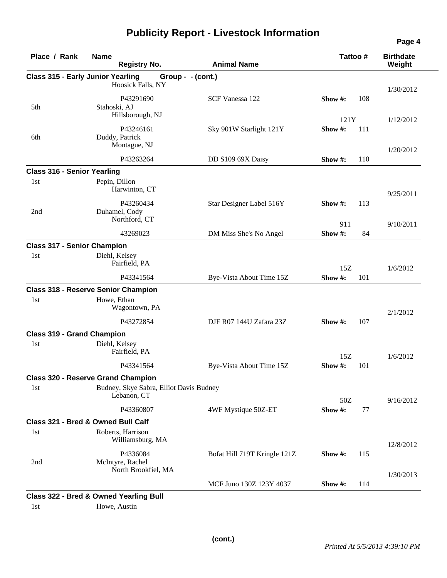| Place / Rank                             | <b>Name</b><br><b>Registry No.</b>                | <b>Animal Name</b>           | Tattoo# |     | <b>Birthdate</b><br>Weight |  |
|------------------------------------------|---------------------------------------------------|------------------------------|---------|-----|----------------------------|--|
| <b>Class 315 - Early Junior Yearling</b> |                                                   | Group - - (cont.)            |         |     |                            |  |
|                                          | Hoosick Falls, NY                                 |                              |         |     | 1/30/2012                  |  |
|                                          | P43291690                                         | SCF Vanessa 122              | Show #: | 108 |                            |  |
| 5th                                      | Stahoski, AJ                                      |                              |         |     |                            |  |
|                                          | Hillsborough, NJ                                  |                              | 121Y    |     | 1/12/2012                  |  |
|                                          | P43246161                                         | Sky 901W Starlight 121Y      | Show#:  | 111 |                            |  |
| 6th                                      | Duddy, Patrick                                    |                              |         |     |                            |  |
|                                          | Montague, NJ                                      |                              |         |     | 1/20/2012                  |  |
|                                          | P43263264                                         | DD S109 69X Daisy            | Show #: | 110 |                            |  |
| <b>Class 316 - Senior Yearling</b>       |                                                   |                              |         |     |                            |  |
| 1st                                      | Pepin, Dillon                                     |                              |         |     |                            |  |
|                                          | Harwinton, CT                                     |                              |         |     | 9/25/2011                  |  |
|                                          | P43260434                                         | Star Designer Label 516Y     | Show #: | 113 |                            |  |
| 2nd                                      | Duhamel, Cody<br>Northford, CT                    |                              |         |     |                            |  |
|                                          |                                                   |                              | 911     |     | 9/10/2011                  |  |
|                                          | 43269023                                          | DM Miss She's No Angel       | Show #: | 84  |                            |  |
| <b>Class 317 - Senior Champion</b>       |                                                   |                              |         |     |                            |  |
| 1st                                      | Diehl, Kelsey                                     |                              |         |     |                            |  |
|                                          | Fairfield, PA                                     |                              | 15Z     |     | 1/6/2012                   |  |
|                                          | P43341564                                         | Bye-Vista About Time 15Z     | Show#:  | 101 |                            |  |
|                                          | <b>Class 318 - Reserve Senior Champion</b>        |                              |         |     |                            |  |
| 1st                                      | Howe, Ethan                                       |                              |         |     |                            |  |
|                                          | Wagontown, PA                                     |                              |         |     | 2/1/2012                   |  |
|                                          | P43272854                                         | DJF R07 144U Zafara 23Z      | Show #: | 107 |                            |  |
| <b>Class 319 - Grand Champion</b>        |                                                   |                              |         |     |                            |  |
| 1st                                      | Diehl, Kelsey                                     |                              |         |     |                            |  |
|                                          | Fairfield, PA                                     |                              | 15Z     |     | 1/6/2012                   |  |
|                                          | P43341564                                         | Bye-Vista About Time 15Z     | Show#:  | 101 |                            |  |
|                                          | <b>Class 320 - Reserve Grand Champion</b>         |                              |         |     |                            |  |
| 1st                                      | Budney, Skye Sabra, Elliot Davis Budney           |                              |         |     |                            |  |
|                                          | Lebanon, CT                                       |                              | 50Z     |     | 9/16/2012                  |  |
|                                          | P43360807                                         | 4WF Mystique 50Z-ET          | Show #: | 77  |                            |  |
|                                          | Class 321 - Bred & Owned Bull Calf                |                              |         |     |                            |  |
| 1st                                      | Roberts, Harrison                                 |                              |         |     |                            |  |
|                                          | Williamsburg, MA                                  |                              |         |     | 12/8/2012                  |  |
|                                          | P4336084                                          | Bofat Hill 719T Kringle 121Z | Show#:  | 115 |                            |  |
| 2nd                                      | McIntyre, Rachel                                  |                              |         |     |                            |  |
|                                          | North Brookfiel, MA                               |                              |         |     | 1/30/2013                  |  |
|                                          |                                                   | MCF Juno 130Z 123Y 4037      | Show #: | 114 |                            |  |
|                                          | <b>Class 322 - Bred &amp; Owned Yearling Bull</b> |                              |         |     |                            |  |
| 1st                                      | Howe, Austin                                      |                              |         |     |                            |  |